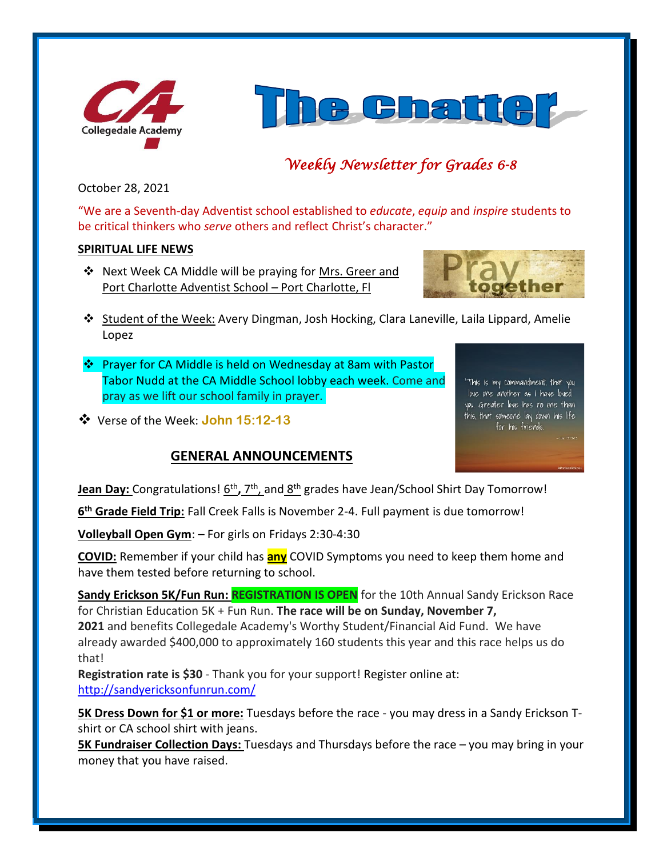



# *Weekly Newsletter for Grades 6-8*

October 28, 2021

"We are a Seventh-day Adventist school established to *educate*, *equip* and *inspire* students to be critical thinkers who *serve* others and reflect Christ's character."

#### **SPIRITUAL LIFE NEWS**

❖ Next Week CA Middle will be praying for Mrs. Greer and Port Charlotte Adventist School – Port Charlotte, Fl



- ❖ Student of the Week: Avery Dingman, Josh Hocking, Clara Laneville, Laila Lippard, Amelie Lopez
- ❖ Prayer for CA Middle is held on Wednesday at 8am with Pastor Tabor Nudd at the CA Middle School lobby each week. Come and pray as we lift our school family in prayer.
- ❖ Verse of the Week: **John 15:12-13**

## **GENERAL ANNOUNCEMENTS**

"This is my commandment, that you love one another as I have loved you. Greater love has no one than this, that someone lay down his life for his friends.

**Jean Day:** Congratulations!  $\underline{6^{th}}$ , 7<sup>th</sup>, and  $\underline{8^{th}}$  grades have Jean/School Shirt Day Tomorrow!

**6 th Grade Field Trip:** Fall Creek Falls is November 2-4. Full payment is due tomorrow!

**Volleyball Open Gym**: – For girls on Fridays 2:30-4:30

**COVID:** Remember if your child has **any** COVID Symptoms you need to keep them home and have them tested before returning to school.

Sandy Erickson 5K/Fun Run: REGISTRATION IS OPEN for the 10th Annual Sandy Erickson Race for Christian Education 5K + Fun Run. **The race will be on Sunday, November 7, 2021** and benefits Collegedale Academy's Worthy Student/Financial Aid Fund. We have already awarded \$400,000 to approximately 160 students this year and this race helps us do that!

**Registration rate is \$30** - Thank you for your support! Register online at: <http://sandyericksonfunrun.com/>

**5K Dress Down for \$1 or more:** Tuesdays before the race - you may dress in a Sandy Erickson Tshirt or CA school shirt with jeans.

**5K Fundraiser Collection Days:** Tuesdays and Thursdays before the race – you may bring in your money that you have raised.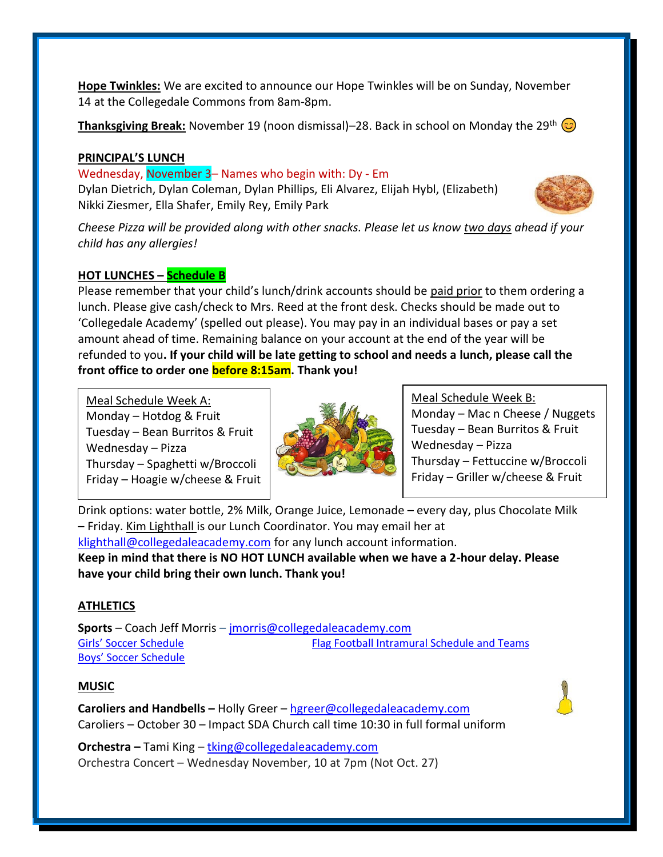**Hope Twinkles:** We are excited to announce our Hope Twinkles will be on Sunday, November 14 at the Collegedale Commons from 8am-8pm.

**Thanksgiving Break:** November 19 (noon dismissal)–28. Back in school on Monday the 29<sup>th</sup>  $\odot$ 

#### **PRINCIPAL'S LUNCH**

Wednesday, November 3– Names who begin with: Dy - Em Dylan Dietrich, Dylan Coleman, Dylan Phillips, Eli Alvarez, Elijah Hybl, (Elizabeth) Nikki Ziesmer, Ella Shafer, Emily Rey, Emily Park



*Cheese Pizza will be provided along with other snacks. Please let us know two days ahead if your child has any allergies!*

## **HOT LUNCHES – Schedule B**

Please remember that your child's lunch/drink accounts should be paid prior to them ordering a lunch. Please give cash/check to Mrs. Reed at the front desk. Checks should be made out to 'Collegedale Academy' (spelled out please). You may pay in an individual bases or pay a set amount ahead of time. Remaining balance on your account at the end of the year will be refunded to you**. If your child will be late getting to school and needs a lunch, please call the front office to order one before 8:15am. Thank you!** 

Meal Schedule Week A: Monday – Hotdog  $&$  Fruit Tuesday – Bean Burritos & Fruit Wednesday – Pizza Thursday – Spaghetti w/Broccoli Friday – Hoagie w/cheese & Fruit



Meal Schedule Week B:

Monday – Mac n Cheese / Nuggets Tuesday – Bean Burritos & Fruit Wednesday – Pizza Thursday – Fettuccine w/Broccoli Friday – Griller w/cheese & Fruit

Drink options: water bottle, 2% Milk, Orange Juice, Lemonade – every day, plus Chocolate Milk – Friday. Kim Lighthall is our Lunch Coordinator. You may email her at [klighthall@collegedaleacademy.com](mailto:klighthall@collegedaleacademy.com) for any lunch account information. **Keep in mind that there is NO HOT LUNCH available when we have a 2-hour delay. Please have your child bring their own lunch. Thank you!**

## **ATHLETICS**

**Sports** – Coach Jeff Morris – [jmorris@collegedaleacademy.com](mailto:jmorris@collegedaleacademy.com) [Girls' Soccer Schedule](https://www.collegedaleacademy.com/wp-content/uploads/2021/10/Girls-2021-2022-Soccer-Schedule.pdf) [Flag Football Intramural Schedule and Teams](https://www.collegedaleacademy.com/wp-content/uploads/2021/10/Flag-Football-Intramurals.pdf) [Boys' Soccer Schedule](https://www.collegedaleacademy.com/wp-content/uploads/2021/10/Boys-2021-2022-Soccer-Schedule.pdf)

## **MUSIC**

**Caroliers and Handbells –** Holly Greer – [hgreer@collegedaleacademy.com](mailto:hgreer@collegedaleacademy.com) Caroliers – October 30 – Impact SDA Church call time 10:30 in full formal uniform

**Orchestra –** Tami King – [tking@collegedaleacademy.com](mailto:tking@collegedaleacademy.com) Orchestra Concert – Wednesday November, 10 at 7pm (Not Oct. 27)